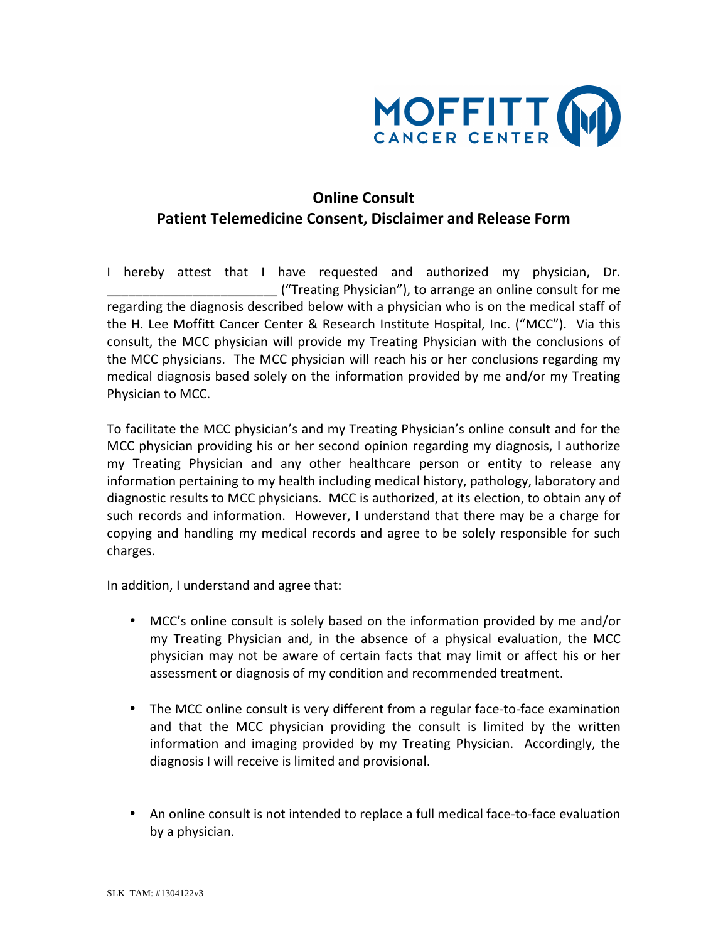

## **Online Consult Patient Telemedicine Consent, Disclaimer and Release Form**

I hereby attest that I have requested and authorized my physician, Dr. \_\_\_\_\_\_\_\_\_\_\_\_\_\_\_\_\_\_\_\_\_\_\_\_ ("Treating Physician"), to arrange an online consult for me regarding the diagnosis described below with a physician who is on the medical staff of the H. Lee Moffitt Cancer Center & Research Institute Hospital, Inc. ("MCC"). Via this consult, the MCC physician will provide my Treating Physician with the conclusions of the MCC physicians. The MCC physician will reach his or her conclusions regarding my medical diagnosis based solely on the information provided by me and/or my Treating Physician to MCC.

To facilitate the MCC physician's and my Treating Physician's online consult and for the MCC physician providing his or her second opinion regarding my diagnosis, I authorize my Treating Physician and any other healthcare person or entity to release any information pertaining to my health including medical history, pathology, laboratory and diagnostic results to MCC physicians. MCC is authorized, at its election, to obtain any of such records and information. However, I understand that there may be a charge for copying and handling my medical records and agree to be solely responsible for such charges.

In addition, I understand and agree that:

- MCC's online consult is solely based on the information provided by me and/or my Treating Physician and, in the absence of a physical evaluation, the MCC physician may not be aware of certain facts that may limit or affect his or her assessment or diagnosis of my condition and recommended treatment.
- The MCC online consult is very different from a regular face-to-face examination and that the MCC physician providing the consult is limited by the written information and imaging provided by my Treating Physician. Accordingly, the diagnosis I will receive is limited and provisional.
- An online consult is not intended to replace a full medical face-to-face evaluation by a physician.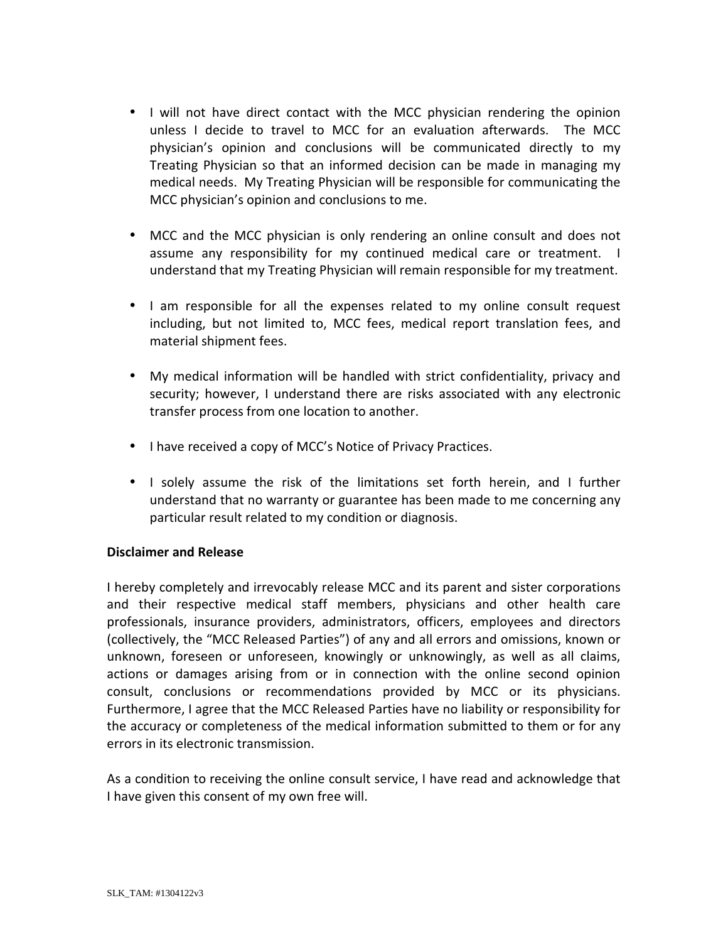- I will not have direct contact with the MCC physician rendering the opinion unless I decide to travel to MCC for an evaluation afterwards. The MCC physician's opinion and conclusions will be communicated directly to my Treating Physician so that an informed decision can be made in managing my medical needs. My Treating Physician will be responsible for communicating the MCC physician's opinion and conclusions to me.
- MCC and the MCC physician is only rendering an online consult and does not assume any responsibility for my continued medical care or treatment. I understand that my Treating Physician will remain responsible for my treatment.
- I am responsible for all the expenses related to my online consult request including, but not limited to, MCC fees, medical report translation fees, and material shipment fees.
- My medical information will be handled with strict confidentiality, privacy and security; however, I understand there are risks associated with any electronic transfer process from one location to another.
- I have received a copy of MCC's Notice of Privacy Practices.
- I solely assume the risk of the limitations set forth herein, and I further understand that no warranty or guarantee has been made to me concerning any particular result related to my condition or diagnosis.

## **Disclaimer and Release**

I hereby completely and irrevocably release MCC and its parent and sister corporations and their respective medical staff members, physicians and other health care professionals, insurance providers, administrators, officers, employees and directors (collectively, the "MCC Released Parties") of any and all errors and omissions, known or unknown, foreseen or unforeseen, knowingly or unknowingly, as well as all claims, actions or damages arising from or in connection with the online second opinion consult, conclusions or recommendations provided by MCC or its physicians. Furthermore, I agree that the MCC Released Parties have no liability or responsibility for the accuracy or completeness of the medical information submitted to them or for any errors in its electronic transmission.

As a condition to receiving the online consult service, I have read and acknowledge that I have given this consent of my own free will.